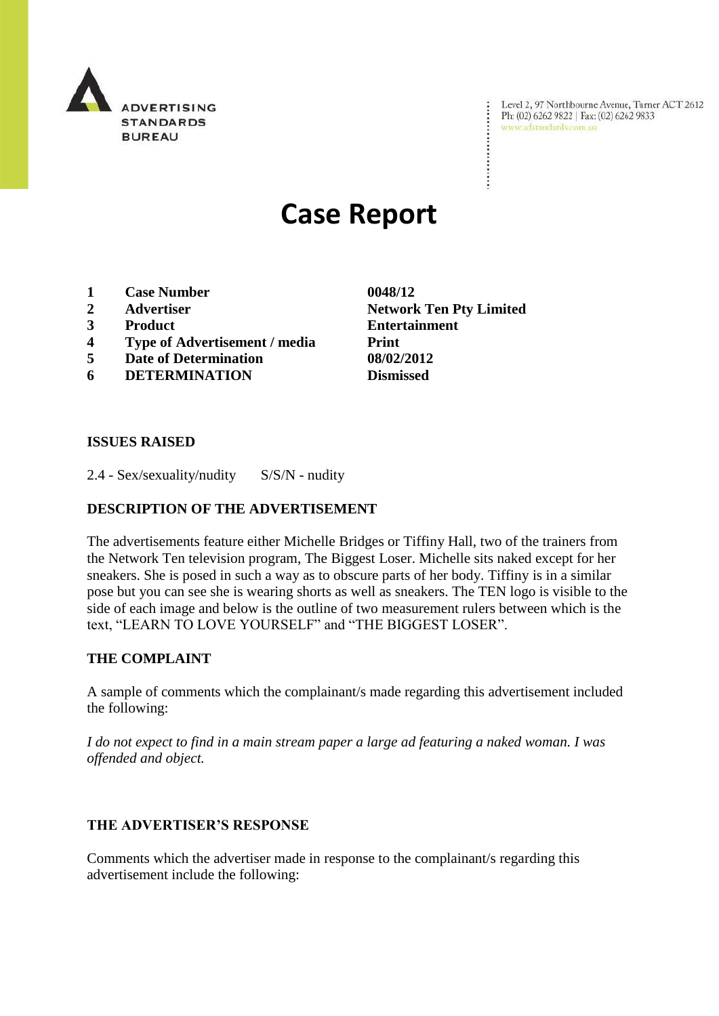

Level 2, 97 Northbourne Avenue, Turner ACT 2612<br>Ph: (02) 6262 9822 | Fax: (02) 6262 9833<br>www.adstandards.com.au www.adstandards.com.au

# **Case Report**

- **1 Case Number 0048/12**
- 
- 
- **4 Type of Advertisement / media Print**
- **5 Date of Determination 08/02/2012**
- **6 DETERMINATION Dismissed**

**2 Advertiser Network Ten Pty Limited 3 Product Entertainment**

÷

## **ISSUES RAISED**

2.4 - Sex/sexuality/nudity S/S/N - nudity

## **DESCRIPTION OF THE ADVERTISEMENT**

The advertisements feature either Michelle Bridges or Tiffiny Hall, two of the trainers from the Network Ten television program, The Biggest Loser. Michelle sits naked except for her sneakers. She is posed in such a way as to obscure parts of her body. Tiffiny is in a similar pose but you can see she is wearing shorts as well as sneakers. The TEN logo is visible to the side of each image and below is the outline of two measurement rulers between which is the text, "LEARN TO LOVE YOURSELF" and "THE BIGGEST LOSER".

#### **THE COMPLAINT**

A sample of comments which the complainant/s made regarding this advertisement included the following:

*I do not expect to find in a main stream paper a large ad featuring a naked woman. I was offended and object.*

### **THE ADVERTISER'S RESPONSE**

Comments which the advertiser made in response to the complainant/s regarding this advertisement include the following: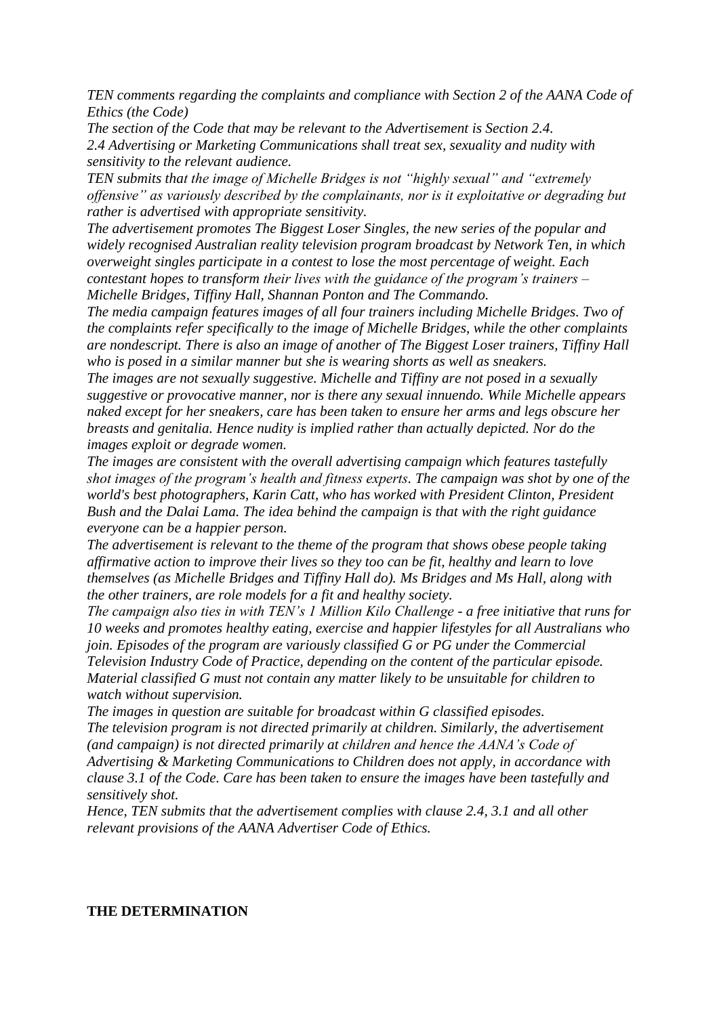*TEN comments regarding the complaints and compliance with Section 2 of the AANA Code of Ethics (the Code)*

*The section of the Code that may be relevant to the Advertisement is Section 2.4. 2.4 Advertising or Marketing Communications shall treat sex, sexuality and nudity with sensitivity to the relevant audience.*

*TEN submits that the image of Michelle Bridges is not "highly sexual" and "extremely offensive" as variously described by the complainants, nor is it exploitative or degrading but rather is advertised with appropriate sensitivity.*

*The advertisement promotes The Biggest Loser Singles, the new series of the popular and widely recognised Australian reality television program broadcast by Network Ten, in which overweight singles participate in a contest to lose the most percentage of weight. Each contestant hopes to transform their lives with the guidance of the program's trainers – Michelle Bridges, Tiffiny Hall, Shannan Ponton and The Commando.* 

*The media campaign features images of all four trainers including Michelle Bridges. Two of the complaints refer specifically to the image of Michelle Bridges, while the other complaints are nondescript. There is also an image of another of The Biggest Loser trainers, Tiffiny Hall who is posed in a similar manner but she is wearing shorts as well as sneakers.*

*The images are not sexually suggestive. Michelle and Tiffiny are not posed in a sexually suggestive or provocative manner, nor is there any sexual innuendo. While Michelle appears naked except for her sneakers, care has been taken to ensure her arms and legs obscure her breasts and genitalia. Hence nudity is implied rather than actually depicted. Nor do the images exploit or degrade women.*

*The images are consistent with the overall advertising campaign which features tastefully shot images of the program's health and fitness experts. The campaign was shot by one of the world's best photographers, Karin Catt, who has worked with President Clinton, President Bush and the Dalai Lama. The idea behind the campaign is that with the right guidance everyone can be a happier person.*

*The advertisement is relevant to the theme of the program that shows obese people taking affirmative action to improve their lives so they too can be fit, healthy and learn to love themselves (as Michelle Bridges and Tiffiny Hall do). Ms Bridges and Ms Hall, along with the other trainers, are role models for a fit and healthy society.*

*The campaign also ties in with TEN's 1 Million Kilo Challenge - a free initiative that runs for 10 weeks and promotes healthy eating, exercise and happier lifestyles for all Australians who join. Episodes of the program are variously classified G or PG under the Commercial Television Industry Code of Practice, depending on the content of the particular episode. Material classified G must not contain any matter likely to be unsuitable for children to watch without supervision.*

*The images in question are suitable for broadcast within G classified episodes. The television program is not directed primarily at children. Similarly, the advertisement (and campaign) is not directed primarily at children and hence the AANA's Code of Advertising & Marketing Communications to Children does not apply, in accordance with clause 3.1 of the Code. Care has been taken to ensure the images have been tastefully and sensitively shot.*

*Hence, TEN submits that the advertisement complies with clause 2.4, 3.1 and all other relevant provisions of the AANA Advertiser Code of Ethics.*

#### **THE DETERMINATION**